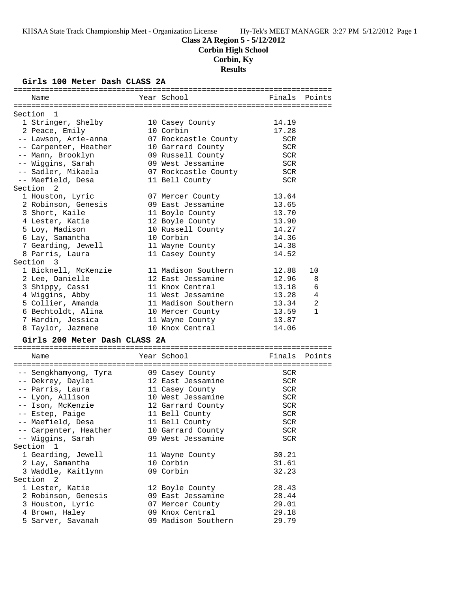### **Class 2A Region 5 - 5/12/2012**

**Corbin High School**

### **Corbin, Ky**

**Results**

#### **Girls 100 Meter Dash CLASS 2A**

| Name                          | Year School          | Finals     | Points         |
|-------------------------------|----------------------|------------|----------------|
| Section 1                     |                      |            |                |
| 1 Stringer, Shelby            | 10 Casey County      | 14.19      |                |
| 2 Peace, Emily                | 10 Corbin            | 17.28      |                |
| -- Lawson, Arie-anna          | 07 Rockcastle County | <b>SCR</b> |                |
| -- Carpenter, Heather         | 10 Garrard County    | <b>SCR</b> |                |
| -- Mann, Brooklyn             | 09 Russell County    | <b>SCR</b> |                |
| -- Wiggins, Sarah             | 09 West Jessamine    | <b>SCR</b> |                |
| -- Sadler, Mikaela            | 07 Rockcastle County | <b>SCR</b> |                |
| -- Maefield, Desa             | 11 Bell County       | <b>SCR</b> |                |
| Section<br>2                  |                      |            |                |
| 1 Houston, Lyric              | 07 Mercer County     | 13.64      |                |
| 2 Robinson, Genesis           | 09 East Jessamine    | 13.65      |                |
| 3 Short, Kaile                | 11 Boyle County      | 13.70      |                |
| 4 Lester, Katie               | 12 Boyle County      | 13.90      |                |
| 5 Loy, Madison                | 10 Russell County    | 14.27      |                |
| 6 Lay, Samantha               | 10 Corbin            | 14.36      |                |
| 7 Gearding, Jewell            | 11 Wayne County      | 14.38      |                |
| 8 Parris, Laura               | 11 Casey County      | 14.52      |                |
| Section 3                     |                      |            |                |
| 1 Bicknell, McKenzie          | 11 Madison Southern  | 12.88      | 10             |
| 2 Lee, Danielle               | 12 East Jessamine    | 12.96      | 8              |
| 3 Shippy, Cassi               | 11 Knox Central      | 13.18      | 6              |
| 4 Wiggins, Abby               | 11 West Jessamine    | 13.28      | $\overline{4}$ |
| 5 Collier, Amanda             | 11 Madison Southern  | 13.34      | $\overline{2}$ |
| 6 Bechtoldt, Alina            | 10 Mercer County     | 13.59      | $\mathbf{1}$   |
| 7 Hardin, Jessica             | 11 Wayne County      | 13.87      |                |
| 8 Taylor, Jazmene             | 10 Knox Central      | 14.06      |                |
| Girls 200 Meter Dash CLASS 2A |                      |            |                |
|                               |                      |            |                |
| Name                          | Year School          | Finals     | Points         |
|                               |                      |            |                |
| -- Sengkhamyong, Tyra         | 09 Casey County      | SCR        |                |
| -- Dekrey, Daylei             | 12 East Jessamine    | <b>SCR</b> |                |
| -- Parris, Laura              | 11 Casey County      | <b>SCR</b> |                |
| -- Lyon, Allison              | 10 West Jessamine    | <b>SCR</b> |                |
| -- Ison, McKenzie             | 12 Garrard County    | <b>SCR</b> |                |
| -- Estep, Paige               | 11 Bell County       | <b>SCR</b> |                |
| -- Maefield, Desa             | 11 Bell County       | SCR        |                |

| -- Carpenter, Heather | 10 Garrard County | SCR        |
|-----------------------|-------------------|------------|
| -- Wiqqins, Sarah     | 09 West Jessamine | <b>SCR</b> |
| Section 1             |                   |            |
| 1 Gearding, Jewell    | 11 Wayne County   | 30.21      |
| 2 Lay, Samantha       | 10 Corbin         | 31.61      |
| 3 Waddle, Kaitlynn    | 09 Corbin         | 32.23      |
| Section 2             |                   |            |
| 1 Lester, Katie       | 12 Boyle County   | 28.43      |
| 2 Robinson, Genesis   | 09 East Jessamine | 28.44      |
|                       |                   |            |

 3 Houston, Lyric 07 Mercer County 29.01 4 Brown, Haley 09 Knox Central 29.18 5 Sarver, Savanah 09 Madison Southern 29.79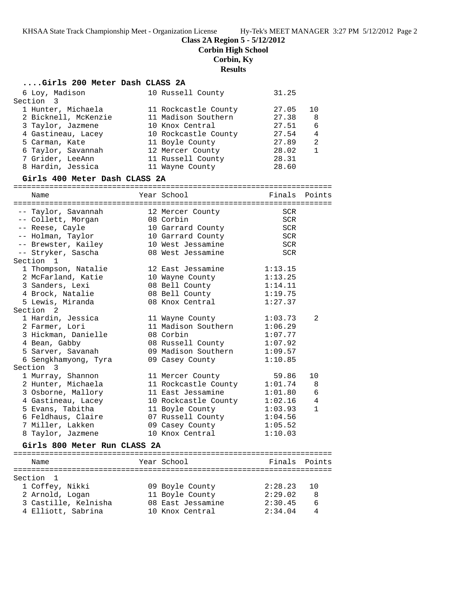**Class 2A Region 5 - 5/12/2012**

**Corbin High School**

**Corbin, Ky**

#### **Results**

## **....Girls 200 Meter Dash CLASS 2A**

| Section<br>-1                 |                                         |               |                |
|-------------------------------|-----------------------------------------|---------------|----------------|
| Name                          | Year School                             | Finals Points |                |
| Girls 800 Meter Run CLASS 2A  |                                         |               |                |
| 8 Taylor, Jazmene             | 10 Knox Central                         | 1:10.03       |                |
| 7 Miller, Lakken              | 09 Casey County                         | 1:05.52       |                |
| 6 Feldhaus, Claire            | 07 Russell County                       | 1:04.56       |                |
| 5 Evans, Tabitha              | 11 Boyle County                         | 1:03.93       | $\mathbf{1}$   |
| 4 Gastineau, Lacey            | 10 Rockcastle County                    | 1:02.16       | $\overline{4}$ |
| 3 Osborne, Mallory            | 11 East Jessamine                       | 1:01.80       | 6              |
| 2 Hunter, Michaela            | 11 Rockcastle County                    | 1:01.74       | 8              |
| 1 Murray, Shannon             | 11 Mercer County                        | 59.86         | 10             |
| Section 3                     |                                         |               |                |
| 6 Sengkhamyong, Tyra          | 09 Casey County                         | 1:10.85       |                |
| 5 Sarver, Savanah             | 09 Madison Southern                     | 1:09.57       |                |
| 4 Bean, Gabby                 | 08 Russell County                       | 1:07.92       |                |
| 3 Hickman, Danielle           | 08 Corbin                               | 1:07.77       |                |
| 2 Farmer, Lori                | 11 Madison Southern                     | 1:06.29       |                |
| 1 Hardin, Jessica             | 11 Wayne County                         | 1:03.73       | 2              |
| Section 2                     |                                         |               |                |
| 5 Lewis, Miranda              | 08 Knox Central                         | 1:27.37       |                |
| 4 Brock, Natalie              | 08 Bell County                          | 1:19.75       |                |
| 3 Sanders, Lexi               | 08 Bell County                          | 1:14.11       |                |
| 2 McFarland, Katie            | 10 Wayne County                         | 1:13.25       |                |
| 1 Thompson, Natalie           | 12 East Jessamine                       | 1:13.15       |                |
| Section 1                     |                                         |               |                |
| -- Stryker, Sascha            | 08 West Jessamine                       | <b>SCR</b>    |                |
| -- Brewster, Kailey           | 10 West Jessamine                       | <b>SCR</b>    |                |
| -- Holman, Taylor             | 10 Garrard County                       | <b>SCR</b>    |                |
| -- Reese, Cayle               | 10 Garrard County                       | SCR           |                |
| -- Collett, Morgan            | 08 Corbin                               | <b>SCR</b>    |                |
| -- Taylor, Savannah           | 12 Mercer County                        | SCR           |                |
|                               |                                         |               |                |
| Name                          | Year School                             | Finals        | Points         |
|                               |                                         |               |                |
| Girls 400 Meter Dash CLASS 2A |                                         |               |                |
| 8 Hardin, Jessica             | 11 Wayne County                         |               |                |
|                               |                                         | 28.60         |                |
| 7 Grider, LeeAnn              | 11 Russell County                       | 28.31         |                |
| 6 Taylor, Savannah            | 12 Mercer County                        | 28.02         | $\mathbf{1}$   |
| 5 Carman, Kate                | 10 Rockcastle County<br>11 Boyle County | 27.89         | 2              |
| 4 Gastineau, Lacey            |                                         | 27.54         | 4              |
| 3 Taylor, Jazmene             | 10 Knox Central                         | 27.51         | 6              |
| 2 Bicknell, McKenzie          | 11 Madison Southern                     | 27.38         | 8              |
| 1 Hunter, Michaela            | 11 Rockcastle County                    | 27.05         | 10             |
| Section<br>3                  |                                         |               |                |
| 6 Loy, Madison                | 10 Russell County                       | 31.25         |                |

 1 Coffey, Nikki 09 Boyle County 2:28.23 10 2 Arnold, Logan 11 Boyle County 2:29.02 8 3 Castille, Kelnisha 08 East Jessamine 2:30.45 6 4 Elliott, Sabrina 10 Knox Central 2:34.04 4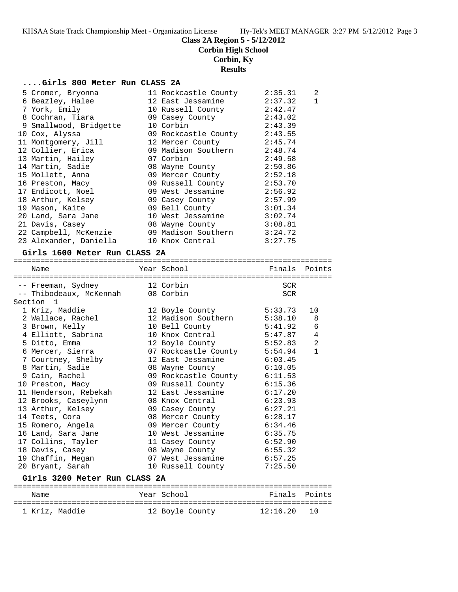**Corbin High School**

## **Corbin, Ky**

**Results**

## **....Girls 800 Meter Run CLASS 2A**

| 5 Cromer, Bryonna      | 11 Rockcastle County        | 2:35.31 | 2 |
|------------------------|-----------------------------|---------|---|
| 6 Beazley, Halee       | 12 East Jessamine           | 2:37.32 |   |
| 7 York, Emily          | 10 Russell County           | 2:42.47 |   |
| 8 Cochran, Tiara       | 09 Casey County             | 2:43.02 |   |
| 9 Smallwood, Bridgette | 10 Corbin                   | 2:43.39 |   |
| 10 Cox, Alyssa         | 09 Rockcastle County        | 2:43.55 |   |
| 11 Montgomery, Jill    | 12 Mercer County            | 2:45.74 |   |
| 12 Collier, Erica      | 09 Madison Southern 2:48.74 |         |   |
| 13 Martin, Hailey      | 07 Corbin                   | 2:49.58 |   |
| 14 Martin, Sadie       | 08 Wayne County             | 2:50.86 |   |
| 15 Mollett, Anna       | 09 Mercer County            | 2:52.18 |   |
| 16 Preston, Macy       | 09 Russell County           | 2:53.70 |   |
| 17 Endicott, Noel      | 09 West Jessamine           | 2:56.92 |   |
| 18 Arthur, Kelsey      | 09 Casey County             | 2:57.99 |   |
| 19 Mason, Kaite        | 09 Bell County              | 3:01.34 |   |
| 20 Land, Sara Jane     | 10 West Jessamine           | 3:02.74 |   |
| 21 Davis, Casey        | 08 Wayne County             | 3:08.81 |   |
| 22 Campbell, McKenzie  | 09 Madison Southern 3:24.72 |         |   |
| 23 Alexander, Daniella | 10 Knox Central             | 3:27.75 |   |

### **Girls 1600 Meter Run CLASS 2A**

| Name                                                              |  | Year School                  | :========================== | Finals Points  |  |  |
|-------------------------------------------------------------------|--|------------------------------|-----------------------------|----------------|--|--|
| -- Freeman, Sydney 12 Corbin<br>-- Thibodeaux, McKennah 08 Corbin |  |                              | <b>SCR</b><br><b>SCR</b>    |                |  |  |
| Section <sub>1</sub>                                              |  |                              |                             |                |  |  |
| 1 Kriz, Maddie                                                    |  | 12 Boyle County              | 5:33.73                     | 10             |  |  |
| 2 Wallace, Rachel                                                 |  | 12 Madison Southern 5:38.10  |                             | 8              |  |  |
| 3 Brown, Kelly                                                    |  | 10 Bell County 5:41.92       |                             | 6              |  |  |
| 4 Elliott, Sabrina                                                |  | 10 Knox Central              | 5:47.87                     | $\overline{4}$ |  |  |
| 5 Ditto, Emma                                                     |  | 12 Boyle County 5:52.83      |                             | $\overline{2}$ |  |  |
| 6 Mercer, Sierra                                                  |  | 07 Rockcastle County 5:54.94 |                             | $\mathbf{1}$   |  |  |
| 7 Courtney, Shelby                                                |  | 12 East Jessamine 6:03.45    |                             |                |  |  |
| 8 Martin, Sadie                                                   |  | 08 Wayne County              | 6:10.05                     |                |  |  |
| 9 Cain, Rachel                                                    |  | 09 Rockcastle County 6:11.53 |                             |                |  |  |
| 10 Preston, Macy                                                  |  | 09 Russell County 6:15.36    |                             |                |  |  |
| 11 Henderson, Rebekah 12 East Jessamine 6:17.20                   |  |                              |                             |                |  |  |
| 12 Brooks, Caseylynn                                              |  | 08 Knox Central              | 6:23.93                     |                |  |  |
| 13 Arthur, Kelsey                                                 |  | 09 Casey County 6:27.21      |                             |                |  |  |
| 14 Teets, Cora                                                    |  | 08 Mercer County             | 6:28.17                     |                |  |  |
| 15 Romero, Angela                                                 |  | 09 Mercer County 6:34.46     |                             |                |  |  |
| 16 Land, Sara Jane                                                |  | 10 West Jessamine            | 6:35.75                     |                |  |  |
| 17 Collins, Tayler 11 Casey County 6:52.90                        |  |                              |                             |                |  |  |
| 18 Davis, Casey                                                   |  | 08 Wayne County              | 6:55.32                     |                |  |  |
| 19 Chaffin, Megan                                                 |  | 07 West Jessamine            | 6:57.25                     |                |  |  |
| 20 Bryant, Sarah                                                  |  | 10 Russell County 7:25.50    |                             |                |  |  |
| Girls 3200 Meter Run CLASS 2A                                     |  |                              |                             |                |  |  |
| Name                                                              |  | Year School                  | Finals                      | Points         |  |  |
|                                                                   |  |                              |                             |                |  |  |

1 Kriz, Maddie 12 Boyle County 12:16.20 10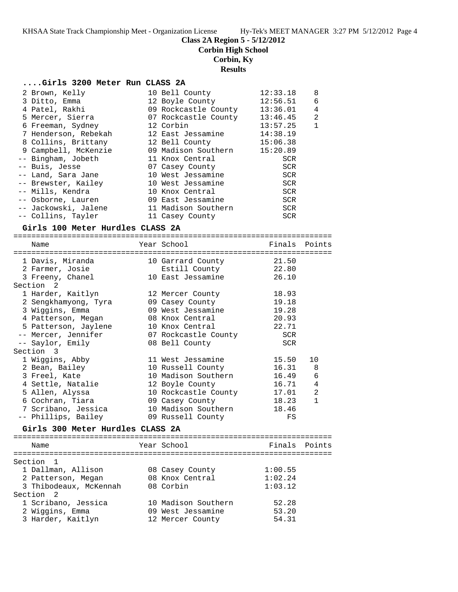**Corbin High School**

## **Corbin, Ky**

## **Results**

## **....Girls 3200 Meter Run CLASS 2A**

|                                                                                                                                                                                                                                                                                                                                                | 12:33.18                                                                                                                                                                                                                                                                                                                       | 8              |
|------------------------------------------------------------------------------------------------------------------------------------------------------------------------------------------------------------------------------------------------------------------------------------------------------------------------------------------------|--------------------------------------------------------------------------------------------------------------------------------------------------------------------------------------------------------------------------------------------------------------------------------------------------------------------------------|----------------|
|                                                                                                                                                                                                                                                                                                                                                | 12:56.51                                                                                                                                                                                                                                                                                                                       | 6              |
|                                                                                                                                                                                                                                                                                                                                                | 13:36.01                                                                                                                                                                                                                                                                                                                       | $\overline{4}$ |
|                                                                                                                                                                                                                                                                                                                                                | 13:46.45                                                                                                                                                                                                                                                                                                                       | 2              |
|                                                                                                                                                                                                                                                                                                                                                | 13:57.25                                                                                                                                                                                                                                                                                                                       | $\mathbf{1}$   |
|                                                                                                                                                                                                                                                                                                                                                | 14:38.19                                                                                                                                                                                                                                                                                                                       |                |
|                                                                                                                                                                                                                                                                                                                                                | 15:06.38                                                                                                                                                                                                                                                                                                                       |                |
|                                                                                                                                                                                                                                                                                                                                                | 15:20.89                                                                                                                                                                                                                                                                                                                       |                |
|                                                                                                                                                                                                                                                                                                                                                | SCR                                                                                                                                                                                                                                                                                                                            |                |
|                                                                                                                                                                                                                                                                                                                                                | SCR                                                                                                                                                                                                                                                                                                                            |                |
|                                                                                                                                                                                                                                                                                                                                                | SCR                                                                                                                                                                                                                                                                                                                            |                |
|                                                                                                                                                                                                                                                                                                                                                | <b>SCR</b>                                                                                                                                                                                                                                                                                                                     |                |
|                                                                                                                                                                                                                                                                                                                                                | <b>SCR</b>                                                                                                                                                                                                                                                                                                                     |                |
|                                                                                                                                                                                                                                                                                                                                                | SCR                                                                                                                                                                                                                                                                                                                            |                |
|                                                                                                                                                                                                                                                                                                                                                | <b>SCR</b>                                                                                                                                                                                                                                                                                                                     |                |
|                                                                                                                                                                                                                                                                                                                                                | <b>SCR</b>                                                                                                                                                                                                                                                                                                                     |                |
| 2 Brown, Kelly<br>3 Ditto, Emma<br>4 Patel, Rakhi<br>5 Mercer, Sierra<br>6 Freeman, Sydney<br>7 Henderson, Rebekah<br>8 Collins, Brittany<br>9 Campbell, McKenzie<br>-- Bingham, Jobeth<br>-- Buis, Jesse<br>-- Land, Sara Jane<br>-- Brewster, Kailey<br>-- Mills, Kendra<br>-- Osborne, Lauren<br>-- Jackowski, Jalene<br>-- Collins, Tayler | 10 Bell County<br>12 Boyle County<br>09 Rockcastle County<br>07 Rockcastle County<br>12 Corbin<br>12 East Jessamine<br>12 Bell County<br>09 Madison Southern<br>11 Knox Central<br>07 Casey County<br>10 West Jessamine<br>10 West Jessamine<br>10 Knox Central<br>09 East Jessamine<br>11 Madison Southern<br>11 Casey County |                |

### **Girls 100 Meter Hurdles CLASS 2A**

| Name                                  | Year School               | Finals Points |              |
|---------------------------------------|---------------------------|---------------|--------------|
| ===================================== | ------------------------- |               |              |
| 1 Davis, Miranda                      | 10 Garrard County         | 21.50         |              |
| 2 Farmer, Josie                       | Estill County             | 22.80         |              |
| 3 Freeny, Chanel                      | 10 East Jessamine         | 26.10         |              |
| Section <sub>2</sub>                  |                           |               |              |
| 1 Harder, Kaitlyn                     | 12 Mercer County          | 18.93         |              |
| 2 Sengkhamyong, Tyra                  | 09 Casey County           | 19.18         |              |
| 3 Wiggins, Emma                       | 09 West Jessamine         | 19.28         |              |
| 4 Patterson, Megan                    | 08 Knox Central           | 20.93         |              |
| 5 Patterson, Jaylene                  | 10 Knox Central           | 22.71         |              |
| -- Mercer, Jennifer                   | 07 Rockcastle County      | <b>SCR</b>    |              |
| -- Saylor, Emily                      | 08 Bell County            | SCR           |              |
| Section 3                             |                           |               |              |
| 1 Wiggins, Abby                       | 11 West Jessamine         | 15.50         | 10           |
| 2 Bean, Bailey                        | 10 Russell County         | 16.31         | 8            |
| 3 Freel, Kate                         | 10 Madison Southern       | 16.49         | 6            |
| 4 Settle, Natalie                     | 12 Boyle County           | 16.71         | 4            |
| 5 Allen, Alyssa                       | 10 Rockcastle County      | 17.01         | 2            |
| 6 Cochran, Tiara                      | 09 Casey County           | 18.23         | $\mathbf{1}$ |
| 7 Scribano, Jessica                   | 10 Madison Southern 18.46 |               |              |
| -- Phillips, Bailey                   | 09 Russell County         | FS            |              |
|                                       |                           |               |              |
| Girls 300 Meter Hurdles CLASS 2A      |                           |               |              |
| Name                                  | Year School               | Finals        | Points       |
|                                       |                           |               |              |
| Section 1                             |                           |               |              |
| 1 Dallman, Allison                    | 08 Casey County           | 1:00.55       |              |
|                                       | 08 Knox Central           | 1:02.24       |              |
| 2 Patterson, Megan                    |                           |               |              |
| 3 Thibodeaux, McKennah                | 08 Corbin                 | 1:03.12       |              |
| Section <sub>2</sub>                  |                           |               |              |
| 1 Scribano, Jessica                   | 10 Madison Southern       | 52.28         |              |
| 2 Wiggins, Emma                       | 09 West Jessamine         | 53.20         |              |
| 3 Harder, Kaitlyn                     | 12 Mercer County          | 54.31         |              |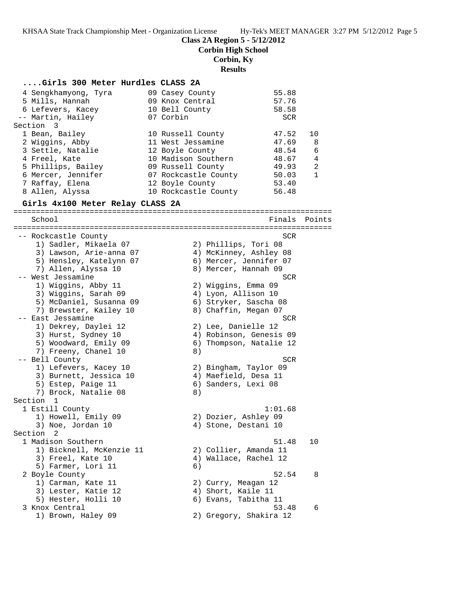**Corbin High School**

### **Corbin, Ky**

**Results**

#### **....Girls 300 Meter Hurdles CLASS 2A**

| 4 Sengkhamyong, Tyra | 09 Casey County      | 55.88      |              |
|----------------------|----------------------|------------|--------------|
| 5 Mills, Hannah      | 09 Knox Central      | 57.76      |              |
| 6 Lefevers, Kacey    | 10 Bell County       | 58.58      |              |
| -- Martin, Hailey    | 07 Corbin            | <b>SCR</b> |              |
| Section 3            |                      |            |              |
| 1 Bean, Bailey       | 10 Russell County    | 47.52      | $10^{\circ}$ |
| 2 Wiggins, Abby      | 11 West Jessamine    | 47.69      | -8           |
| 3 Settle, Natalie    | 12 Boyle County      | 48.54      | 6            |
| 4 Freel, Kate        | 10 Madison Southern  | 48.67      | 4            |
| 5 Phillips, Bailey   | 09 Russell County    | 49.93      | 2            |
| 6 Mercer, Jennifer   | 07 Rockcastle County | 50.03      | $\mathbf{1}$ |
| 7 Raffay, Elena      | 12 Boyle County      | 53.40      |              |
| 8 Allen, Alyssa      | 10 Rockcastle County | 56.48      |              |

#### **Girls 4x100 Meter Relay CLASS 2A**

======================================================================= School **Finals Points** ======================================================================= -- Rockcastle County SCR 1) Sadler, Mikaela 07 2) Phillips, Tori 08 3) Lawson, Arie-anna 07 4) McKinney, Ashley 08 5) Hensley, Katelynn 07 6) Mercer, Jennifer 07 7) Allen, Alyssa 10 8) Mercer, Hannah 09 -- West Jessamine SCR 1) Wiggins, Abby 11 2) Wiggins, Emma 09 3) Wiggins, Sarah 09 4) Lyon, Allison 10 5) McDaniel, Susanna 09 6) Stryker, Sascha 08 7) Brewster, Kailey 10  $\,$  8) Chaffin, Megan 07 -- East Jessamine SCR and the SCR set of the SCR set of the SCR set of the SCR set of the SCR set of the SCR set of the SCR set of the SCR set of the SCR set of the SCR set of the SCR set of the SCR set of the SCR set of t 1) Dekrey, Daylei 12 2) Lee, Danielle 12 3) Hurst, Sydney 10 4) Robinson, Genesis 09 5) Woodward, Emily 09 6) Thompson, Natalie 12 7) Freeny, Chanel 10 8) -- Bell County SCR 1) Lefevers, Kacey 10 2) Bingham, Taylor 09 3) Burnett, Jessica 10 4) Maefield, Desa 11 5) Estep, Paige 11 6) Sanders, Lexi 08 7) Brock, Natalie 08 8) Section 1<br>1 Estill County 1 Estill County 1:01.68 1) Howell, Emily 09 2) Dozier, Ashley 09 3) Noe, Jordan 10 4) Stone, Destani 10 Section 2<br>1 Madison Southern 1 Madison Southern 51.48 10 1) Bicknell, McKenzie 11 2) Collier, Amanda 11 3) Freel, Kate 10 4) Wallace, Rachel 12 5) Farmer, Lori 11 6) 2 Boyle County 52.54 8 1) Carman, Kate 11 2) Curry, Meagan 12 3) Lester, Katie 12 (4) Short, Kaile 11 5) Hester, Holli 10 6) Evans, Tabitha 11 3 Knox Central 53.48 6 1) Brown, Haley 09 2) Gregory, Shakira 12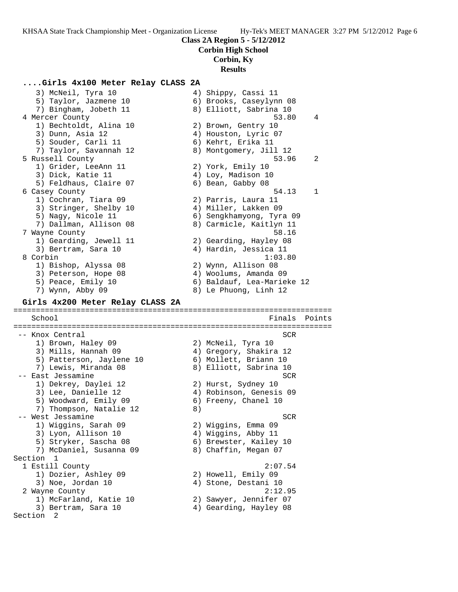#### **Corbin High School**

### **Corbin, Ky**

### **Results**

## **....Girls 4x100 Meter Relay CLASS 2A**

 3) McNeil, Tyra 10 4) Shippy, Cassi 11 5) Taylor, Jazmene 10 6) Brooks, Caseylynn 08 7) Bingham, Jobeth 11 8) Elliott, Sabrina 10 4 Mercer County 53.80 4 1) Bechtoldt, Alina 10 2) Brown, Gentry 10 3) Dunn, Asia 12 4) Houston, Lyric 07 5) Souder, Carli 11 6) Kehrt, Erika 11 7) Taylor, Savannah 12 8) Montgomery, Jill 12 5 Russell County 53.96 2 1) Grider, LeeAnn 11 2) York, Emily 10 3) Dick, Katie 11 4) Loy, Madison 10 5) Feldhaus, Claire 07 (6) Bean, Gabby 08 6 Casey County 54.13 1 1) Cochran, Tiara 09 2) Parris, Laura 11 3) Stringer, Shelby 10 (4) Miller, Lakken 09 5) Nagy, Nicole 11 6) Sengkhamyong, Tyra 09 7) Dallman, Allison 08 8) Carmicle, Kaitlyn 11 7 Wayne County 58.16 1) Gearding, Jewell 11 2) Gearding, Hayley 08 3) Bertram, Sara 10 4) Hardin, Jessica 11 8 Corbin 1:03.80 1) Bishop, Alyssa 08 2) Wynn, Allison 08 3) Peterson, Hope 08 4) Woolums, Amanda 09 5) Peace, Emily 10 6) Baldauf, Lea-Marieke 12 7) Wynn, Abby 09 8) Le Phuong, Linh 12 **Girls 4x200 Meter Relay CLASS 2A** ======================================================================= School **Finals** Points ======================================================================= -- Knox Central SCR 1) Brown, Haley 09 2) McNeil, Tyra 10 3) Mills, Hannah 09 4) Gregory, Shakira 12 5) Patterson, Jaylene 10 6) Mollett, Briann 10 7) Lewis, Miranda 08 8) Elliott, Sabrina 10 -- East Jessamine SCR and the SCR set of the SCR set of the SCR set of the SCR 1) Dekrey, Daylei 12 2) Hurst, Sydney 10 3) Lee, Danielle 12 4) Robinson, Genesis 09 5) Woodward, Emily 09  $\hphantom{\text{2.6}}$  6) Freeny, Chanel 10 7) Thompson, Natalie 12 (8) -- West Jessamine SCR and the SCR set of the SCR set of the SCR set of the SCR set of the SCR set of the SCR set of the SCR set of the SCR set of the SCR set of the SCR set of the SCR set of the SCR set of the SCR set of t 1) Wiggins, Sarah 09 2) Wiggins, Emma 09 3) Lyon, Allison 10 4) Wiggins, Abby 11 5) Stryker, Sascha 08 6) Brewster, Kailey 10 7) McDaniel, Susanna 09 8) Chaffin, Megan 07 Section 1<br>1 Estill County 1 Estill County 2:07.54 1) Dozier, Ashley 09 2) Howell, Emily 09 3) Noe, Jordan 10 (4) 4) Stone, Destani 10 2 Wayne County 2:12.95 1) McFarland, Katie 10 2) Sawyer, Jennifer 07 3) Bertram, Sara 10 4) Gearding, Hayley 08 Section 2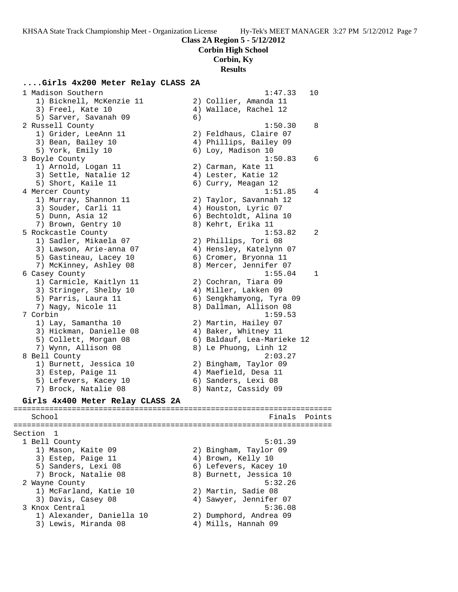**Corbin High School**

**Corbin, Ky**

#### **Results**

### **....Girls 4x200 Meter Relay CLASS 2A**

 1 Madison Southern 1:47.33 10 1) Bicknell, McKenzie 11 2) Collier, Amanda 11 3) Freel, Kate 10 4) Wallace, Rachel 12 5) Sarver, Savanah 09 (6) 2 Russell County 1:50.30 8 1) Grider, LeeAnn 11 2) Feldhaus, Claire 07 3) Bean, Bailey 10 4) Phillips, Bailey 09 5) York, Emily 10 6) Loy, Madison 10 3 Boyle County 1:50.83 6 1) Arnold, Logan 11 2) Carman, Kate 11 3) Settle, Natalie 12 (4) Lester, Katie 12 5) Short, Kaile 11 6) Curry, Meagan 12 4 Mercer County 1:51.85 4 1) Murray, Shannon 11 2) Taylor, Savannah 12 3) Souder, Carli 11 (4) Houston, Lyric 07 5) Dunn, Asia 12 6) Bechtoldt, Alina 10 7) Brown, Gentry 10 and 8) Kehrt, Erika 11 5 Rockcastle County 1:53.82 2 1) Sadler, Mikaela 07 2) Phillips, Tori 08 3) Lawson, Arie-anna 07 4) Hensley, Katelynn 07 5) Gastineau, Lacey 10 6) Cromer, Bryonna 11 7) McKinney, Ashley 08 8) Mercer, Jennifer 07 6 Casey County 1:55.04 1 1) Carmicle, Kaitlyn 11 2) Cochran, Tiara 09 3) Stringer, Shelby 10 4) Miller, Lakken 09 5) Parris, Laura 11 6) Sengkhamyong, Tyra 09 7) Nagy, Nicole 11 8) Dallman, Allison 08 7 Corbin 1:59.53 1) Lay, Samantha 10 2) Martin, Hailey 07 3) Hickman, Danielle 08 (4) Baker, Whitney 11 5) Collett, Morgan 08 6) Baldauf, Lea-Marieke 12 7) Wynn, Allison 08 8) Le Phuong, Linh 12 8 Bell County 2:03.27 1) Burnett, Jessica 10 2) Bingham, Taylor 09 3) Estep, Paige 11 (4) Maefield, Desa 11 5) Lefevers, Kacey 10 (6) Sanders, Lexi 08 7) Brock, Natalie 08 8) Nantz, Cassidy 09 **Girls 4x400 Meter Relay CLASS 2A** ======================================================================= School **Finals Points** ======================================================================= Section 1<br>1 Bell County 1 Bell County 5:01.39 1) Mason, Kaite 09 2) Bingham, Taylor 09 3) Estep, Paige 11 (4) Brown, Kelly 10 5) Sanders, Lexi 08 6) Lefevers, Kacey 10 7) Brock, Natalie 08 8) Burnett, Jessica 10

2 Wayne County **5:32.26**  1) McFarland, Katie 10 2) Martin, Sadie 08 3) Davis, Casey 08 4) Sawyer, Jennifer 07

- 3 Knox Central 5:36.08
- 1) Alexander, Daniella 10 2) Dumphord, Andrea 09
	-

3) Lewis, Miranda 08 4) Mills, Hannah 09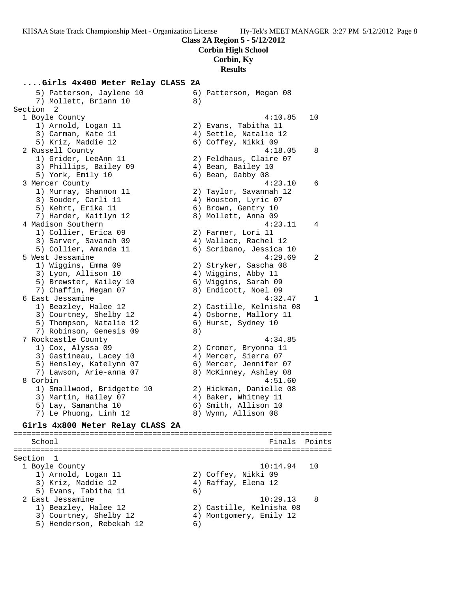**Corbin High School**

#### **Corbin, Ky**

**Results**

# **....Girls 4x400 Meter Relay CLASS 2A**

 5) Patterson, Jaylene 10 6) Patterson, Megan 08 7) Mollett, Briann 10 (8) Section 2 1 Boyle County 4:10.85 10 1) Arnold, Logan 11 2) Evans, Tabitha 11 3) Carman, Kate 11 4) Settle, Natalie 12 5) Kriz, Maddie 12 6) Coffey, Nikki 09 2 Russell County 4:18.05 8 1) Grider, LeeAnn 11 2) Feldhaus, Claire 07 3) Phillips, Bailey 09  $\hskip1cm$  4) Bean, Bailey 10 5) York, Emily 10 6) Bean, Gabby 08 3 Mercer County 4:23.10 6 1) Murray, Shannon 11 2) Taylor, Savannah 12 3) Souder, Carli 11 (4) Houston, Lyric 07 5) Kehrt, Erika 11 (6) Brown, Gentry 10 7) Harder, Kaitlyn 12 8) Mollett, Anna 09 4 Madison Southern 4:23.11 4 1) Collier, Erica 09 (2) Farmer, Lori 11 3) Sarver, Savanah 09 4) Wallace, Rachel 12 5) Collier, Amanda 11 6) Scribano, Jessica 10 5 West Jessamine 4:29.69 2 1) Wiggins, Emma 09 2) Stryker, Sascha 08 3) Lyon, Allison 10 4) Wiggins, Abby 11 5) Brewster, Kailey 10 (6) Wiggins, Sarah 09 7) Chaffin, Megan 07 8) Endicott, Noel 09 6 East Jessamine 4:32.47 1 1) Beazley, Halee 12 2) Castille, Kelnisha 08 3) Courtney, Shelby 12 4) Osborne, Mallory 11 5) Thompson, Natalie 12 (6) Hurst, Sydney 10 7) Robinson, Genesis 09 8) 7 Rockcastle County 4:34.85 1) Cox, Alyssa 09 2) Cromer, Bryonna 11 3) Gastineau, Lacey 10 (4) Mercer, Sierra 07 5) Hensley, Katelynn 07 6) Mercer, Jennifer 07 7) Lawson, Arie-anna 07 8) McKinney, Ashley 08 8 Corbin 4:51.60 1) Smallwood, Bridgette 10 2) Hickman, Danielle 08 3) Martin, Hailey 07 (4) Baker, Whitney 11 5) Lay, Samantha 10 6) Smith, Allison 10 7) Le Phuong, Linh 12 8) Wynn, Allison 08

#### **Girls 4x800 Meter Relay CLASS 2A**

======================================================================= School Finals Points ======================================================================= Section 1<br>1 Boyle County 1 Boyle County 10:14.94 10 1) Arnold, Logan 11 2) Coffey, Nikki 09 3) Kriz, Maddie 12 (4) Raffay, Elena 12 5) Evans, Tabitha 11 (6) 2 East Jessamine 10:29.13 8 1) Beazley, Halee 12 2) Castille, Kelnisha 08 3) Courtney, Shelby 12 4) Montgomery, Emily 12 5) Henderson, Rebekah 12 6)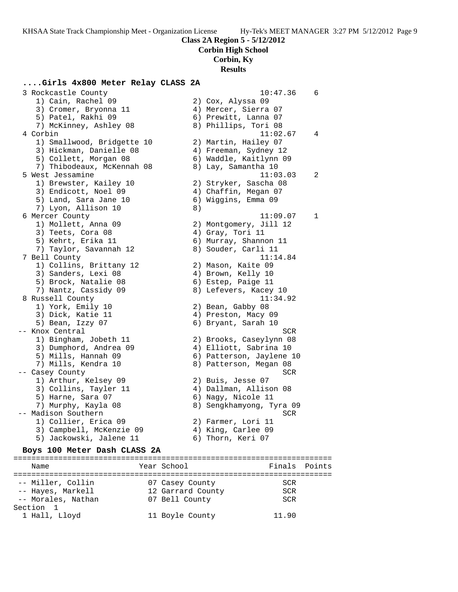**Corbin High School**

#### **Corbin, Ky**

#### **Results**

## **....Girls 4x800 Meter Relay CLASS 2A**

 3 Rockcastle County 10:47.36 6 1) Cain, Rachel 09 2) Cox, Alyssa 09 3) Cromer, Bryonna 11 (4) Mercer, Sierra 07 5) Patel, Rakhi 09 6) Prewitt, Lanna 07 7) McKinney, Ashley 08 8) Phillips, Tori 08 4 Corbin 11:02.67 4 1) Smallwood, Bridgette 10 2) Martin, Hailey 07 3) Hickman, Danielle 08 4) Freeman, Sydney 12 5) Collett, Morgan 08 6) Waddle, Kaitlynn 09 7) Thibodeaux, McKennah 08 8) Lay, Samantha 10 5 West Jessamine 11:03.03 2 1) Brewster, Kailey 10 2) Stryker, Sascha 08 3) Endicott, Noel 09  $\hskip1cm 4)$  Chaffin, Megan 07 5) Land, Sara Jane 10 6) Wiggins, Emma 09 7) Lyon, Allison 10 8) 6 Mercer County 11:09.07 1 1) Mollett, Anna 09 2) Montgomery, Jill 12 3) Teets, Cora 08 (4) Gray, Tori 11 5) Kehrt, Erika 11 6) Murray, Shannon 11 7) Taylor, Savannah 12 8) Souder, Carli 11 7 Bell County 11:14.84 1) Collins, Brittany 12 2) Mason, Kaite 09 3) Sanders, Lexi 08 4) Brown, Kelly 10 5) Brock, Natalie 08 6) Estep, Paige 11 7) Nantz, Cassidy 09 8) Lefevers, Kacey 10 8 Russell County 11:34.92 1) York, Emily 10 2) Bean, Gabby 08 3) Dick, Katie 11 4) Preston, Macy 09 5) Bean, Izzy 07 (6) Bryant, Sarah 10 -- Knox Central SCR 1) Bingham, Jobeth 11 2) Brooks, Caseylynn 08 3) Dumphord, Andrea 09 4) Elliott, Sabrina 10 5) Mills, Hannah 09 6) Patterson, Jaylene 10 7) Mills, Kendra 10 8) Patterson, Megan 08 -- Casey County SCR 1) Arthur, Kelsey 09 2) Buis, Jesse 07 3) Collins, Tayler 11 4) Dallman, Allison 08 5) Harne, Sara 07 (6) Nagy, Nicole 11 7) Murphy, Kayla 08 8) Sengkhamyong, Tyra 09 -- Madison Southern Screen Screen Screen Screen Screen Screen Screen Screen Screen Screen Screen Screen Screen 1) Collier, Erica 09 (2) Farmer, Lori 11 3) Campbell, McKenzie 09 (4) King, Carlee 09 5) Jackowski, Jalene 11  $\qquad \qquad$  6) Thorn, Keri 07

#### **Boys 100 Meter Dash CLASS 2A**

======================================================================= Name The Year School The Finals Points ======================================================================= -- Miller, Collin 07 Casey County SCR -- Hayes, Markell 12 Garrard County SCR -- Morales, Nathan 07 Bell County SCR Section 1 1 Hall, Lloyd 11 Boyle County 11.90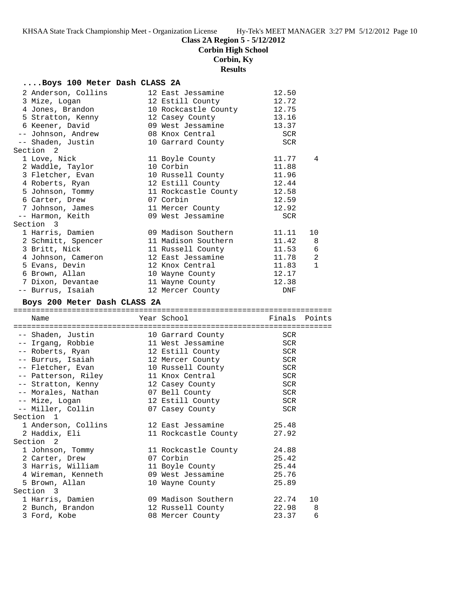**Corbin High School**

**Corbin, Ky**

## **Results**

## **....Boys 100 Meter Dash CLASS 2A**

| 2 Anderson, Collins | 12 East Jessamine          | 12.50   |              |
|---------------------|----------------------------|---------|--------------|
| 3 Mize, Logan       | 12 Estill County           | 12.72   |              |
| 4 Jones, Brandon    | 10 Rockcastle County 12.75 |         |              |
| 5 Stratton, Kenny   | 12 Casey County            | 13.16   |              |
| 6 Keener, David     | 09 West Jessamine          | 13.37   |              |
| -- Johnson, Andrew  | 08 Knox Central            | SCR     |              |
| -- Shaden, Justin   | 10 Garrard County          | SCR     |              |
| Section 2           |                            |         |              |
| 1 Love, Nick        | 11 Boyle County            | 11.77   | 4            |
| 2 Waddle, Taylor    | 10 Corbin                  | 11.88   |              |
| 3 Fletcher, Evan    | 10 Russell County 11.96    |         |              |
| 4 Roberts, Ryan     | 12 Estill County           | 12.44   |              |
| 5 Johnson, Tommy    | 11 Rockcastle County 12.58 |         |              |
| 6 Carter, Drew      | 07 Corbin                  | 12.59   |              |
| 7 Johnson, James    | 11 Mercer County           | 12.92   |              |
| -- Harmon, Keith    | 09 West Jessamine          | SCR     |              |
| Section 3           |                            |         |              |
| 1 Harris, Damien    | 09 Madison Southern        | 11.11   | 10           |
| 2 Schmitt, Spencer  | 11 Madison Southern 11.42  |         | 8            |
| 3 Britt, Nick       | 11 Russell County 11.53 6  |         |              |
| 4 Johnson, Cameron  | 12 East Jessamine          | 11.78 2 |              |
| 5 Evans, Devin      | 12 Knox Central            | 11.83   | $\mathbf{1}$ |
| 6 Brown, Allan      | 10 Wayne County            | 12.17   |              |
| 7 Dixon, Devantae   | 11 Wayne County            | 12.38   |              |
| -- Burrus, Isaiah   | 12 Mercer County           | DNF     |              |

## **Boys 200 Meter Dash CLASS 2A**

| Name                                                 |  | Year School          | Finals Points |    |  |  |
|------------------------------------------------------|--|----------------------|---------------|----|--|--|
|                                                      |  |                      |               |    |  |  |
| -- Shaden, Justin                                    |  | 10 Garrard County    | <b>SCR</b>    |    |  |  |
| -- Irgang, Robbie                                    |  | 11 West Jessamine    | <b>SCR</b>    |    |  |  |
| -- Roberts, Ryan 12 Estill County                    |  |                      | <b>SCR</b>    |    |  |  |
| -- Burrus, Isaiah                                    |  | 12 Mercer County     | <b>SCR</b>    |    |  |  |
|                                                      |  |                      | <b>SCR</b>    |    |  |  |
| -- Patterson, Riley                                  |  | 11 Knox Central      | <b>SCR</b>    |    |  |  |
| -- Stratton, Kenny               12 Casey County     |  |                      | <b>SCR</b>    |    |  |  |
| -- Morales, Nathan 07 Bell County                    |  |                      | SCR           |    |  |  |
| -- Mize, Logan                                       |  | 12 Estill County     | <b>SCR</b>    |    |  |  |
| -- Miller, Collin                                    |  | 07 Casey County      | SCR           |    |  |  |
| Section <sub>1</sub>                                 |  |                      |               |    |  |  |
| 1 Anderson, Collins 12 East Jessamine                |  |                      | 25.48         |    |  |  |
| 2 Haddix, Eli                                        |  | 11 Rockcastle County | 27.92         |    |  |  |
| Section <sub>2</sub>                                 |  |                      |               |    |  |  |
| 1 Johnson, Tommy 11 Rockcastle County                |  |                      | 24.88         |    |  |  |
| 2 Carter, Drew                                       |  | 07 Corbin            | 25.42         |    |  |  |
| 3 Harris, William                                    |  | 11 Boyle County      | 25.44         |    |  |  |
| 4 Wireman, Kenneth                 09 West Jessamine |  |                      | 25.76         |    |  |  |
| 5 Brown, Allan                                       |  | 10 Wayne County      | 25.89         |    |  |  |
| Section 3                                            |  |                      |               |    |  |  |
| 1 Harris, Damien                                     |  |                      |               | 10 |  |  |
| 2 Bunch, Brandon                                     |  | 12 Russell County    | 22.98         | 8  |  |  |
| 3 Ford, Kobe                                         |  | 08 Mercer County     | 23.37         | 6  |  |  |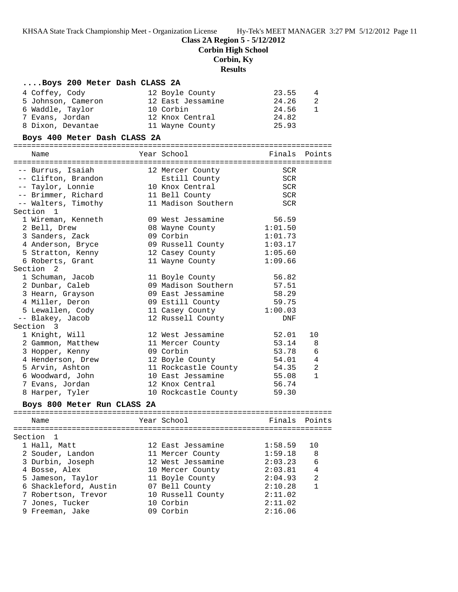## **Class 2A Region 5 - 5/12/2012**

**Corbin High School**

## **Corbin, Ky**

## **Results**

| Boys 200 Meter Dash CLASS 2A |                      |            |              |
|------------------------------|----------------------|------------|--------------|
| 4 Coffey, Cody               | 12 Boyle County      | 23.55      | 4            |
| 5 Johnson, Cameron           | 12 East Jessamine    | 24.26      | 2            |
| 6 Waddle, Taylor             | 10 Corbin            | 24.56      | 1            |
| 7 Evans, Jordan              | 12 Knox Central      | 24.82      |              |
| 8 Dixon, Devantae            | 11 Wayne County      | 25.93      |              |
| Boys 400 Meter Dash CLASS 2A |                      |            |              |
|                              |                      |            |              |
| Name                         | Year School          | Finals     | Points       |
| -- Burrus, Isaiah            | 12 Mercer County     | SCR        |              |
| -- Clifton, Brandon          | Estill County        | SCR        |              |
| -- Taylor, Lonnie            | 10 Knox Central      | <b>SCR</b> |              |
| -- Brimmer, Richard          | 11 Bell County       | SCR        |              |
| -- Walters, Timothy          | 11 Madison Southern  | <b>SCR</b> |              |
| Section 1                    |                      |            |              |
| 1 Wireman, Kenneth           | 09 West Jessamine    | 56.59      |              |
| 2 Bell, Drew                 | 08 Wayne County      | 1:01.50    |              |
| 3 Sanders, Zack              | 09 Corbin            | 1:01.73    |              |
| 4 Anderson, Bryce            | 09 Russell County    | 1:03.17    |              |
| 5 Stratton, Kenny            | 12 Casey County      | 1:05.60    |              |
| 6 Roberts, Grant             | 11 Wayne County      | 1:09.66    |              |
| Section 2                    |                      |            |              |
| 1 Schuman, Jacob             | 11 Boyle County      | 56.82      |              |
| 2 Dunbar, Caleb              | 09 Madison Southern  | 57.51      |              |
| 3 Hearn, Grayson             | 09 East Jessamine    | 58.29      |              |
| 4 Miller, Deron              | 09 Estill County     | 59.75      |              |
| 5 Lewallen, Cody             | 11 Casey County      | 1:00.03    |              |
| -- Blakey, Jacob             | 12 Russell County    | DNF        |              |
| Section 3                    |                      |            |              |
| 1 Knight, Will               | 12 West Jessamine    | 52.01      | 10           |
| 2 Gammon, Matthew            | 11 Mercer County     | 53.14      | 8            |
| 3 Hopper, Kenny              | 09 Corbin            | 53.78      | 6            |
| 4 Henderson, Drew            | 12 Boyle County      | 54.01      | 4            |
| 5 Arvin, Ashton              | 11 Rockcastle County | 54.35      | 2            |
| 6 Woodward, John             | 10 East Jessamine    | 55.08      | $\mathbf{1}$ |
| 7 Evans, Jordan              | 12 Knox Central      | 56.74      |              |
| 8 Harper, Tyler              | 10 Rockcastle County | 59.30      |              |
| Boys 800 Meter Run CLASS 2A  |                      |            |              |
|                              |                      |            |              |
| Name                         | Year School          | Finals     | Points       |
| Section<br>1                 |                      |            |              |
| 1 Hall, Matt                 | 12 East Jessamine    | 1:58.59    | 10           |
| 2 Souder, Landon             | 11 Mercer County     | 1:59.18    | 8            |
| 3 Durbin, Joseph             | 12 West Jessamine    | 2:03.23    | 6            |
| 4 Bosse, Alex                | 10 Mercer County     | 2:03.81    | 4            |
| 5 Jameson, Taylor            | 11 Boyle County      | 2:04.93    | 2            |
| 6 Shackleford, Austin        | 07 Bell County       | 2:10.28    | 1            |
| 7 Robertson, Trevor          | 10 Russell County    | 2:11.02    |              |
| 7 Jones, Tucker              | 10 Corbin            | 2:11.02    |              |
| 9 Freeman, Jake              | 09 Corbin            | 2:16.06    |              |
|                              |                      |            |              |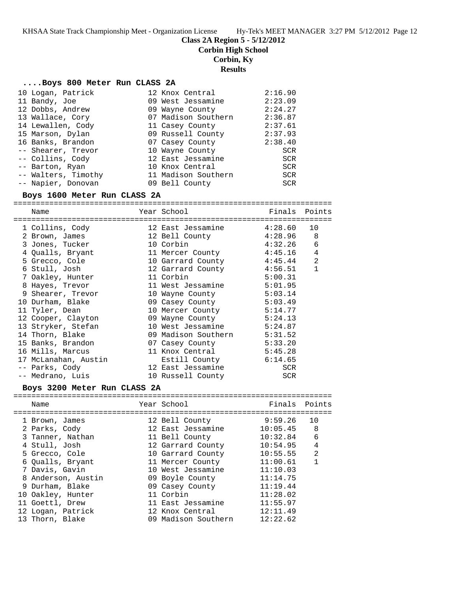**Class 2A Region 5 - 5/12/2012**

**Corbin High School**

**Corbin, Ky**

**Results**

#### **....Boys 800 Meter Run CLASS 2A**

| 10 Logan, Patrick   | 12 Knox Central     | 2:16.90    |
|---------------------|---------------------|------------|
| 11 Bandy, Joe       | 09 West Jessamine   | 2:23.09    |
| 12 Dobbs, Andrew    | 09 Wayne County     | 2:24.27    |
| 13 Wallace, Cory    | 07 Madison Southern | 2:36.87    |
| 14 Lewallen, Cody   | 11 Casey County     | 2:37.61    |
| 15 Marson, Dylan    | 09 Russell County   | 2:37.93    |
| 16 Banks, Brandon   | 07 Casey County     | 2:38.40    |
| -- Shearer, Trevor  | 10 Wayne County     | SCR        |
| -- Collins, Cody    | 12 East Jessamine   | SCR        |
| -- Barton, Ryan     | 10 Knox Central     | SCR        |
| -- Walters, Timothy | 11 Madison Southern | SCR        |
| -- Napier, Donovan  | 09 Bell County      | <b>SCR</b> |

#### **Boys 1600 Meter Run CLASS 2A**

======================================================================= Name Year School Finals Points ======================================================================= 1 Collins, Cody 12 East Jessamine 4:28.60 10 2 Brown, James 12 Bell County 4:28.96 8 3 Jones, Tucker 10 Corbin 4:32.26 6 4 Qualls, Bryant 11 Mercer County 4:45.16 4 5 Grecco, Cole 10 Garrard County 4:45.44 2 6 Stull, Josh 12 Garrard County 4:56.51 1 7 Oakley, Hunter 11 Corbin 5:00.31 8 Hayes, Trevor 11 West Jessamine 5:01.95 9 Shearer, Trevor 10 Wayne County 5:03.14 10 Durham, Blake 09 Casey County 5:03.49 11 Tyler, Dean 10 Mercer County 5:14.77 12 Cooper, Clayton 09 Wayne County 5:24.13 13 Stryker, Stefan 10 West Jessamine 5:24.87 14 Thorn, Blake 09 Madison Southern 5:31.52 15 Banks, Brandon 07 Casey County 5:33.20 16 Mills, Marcus 11 Knox Central 5:45.28 17 McLanahan, Austin Estill County 6:14.65 -- Parks, Cody 12 East Jessamine SCR -- Medrano, Luis 10 Russell County SCR

### **Boys 3200 Meter Run CLASS 2A**

======================================================================= Name Year School Finals Points ======================================================================= 1 Brown, James 12 Bell County 9:59.26 10 2 Parks, Cody 12 East Jessamine 10:05.45 8 3 Tanner, Nathan 11 Bell County 10:32.84 6 4 Stull, Josh 12 Garrard County 10:54.95 4 5 Grecco, Cole 10 Garrard County 10:55.55 2 6 Qualls, Bryant 11 Mercer County 11:00.61 1 7 Davis, Gavin 10 West Jessamine 11:10.03 8 Anderson, Austin 09 Boyle County 11:14.75 9 Durham, Blake 09 Casey County 11:19.44 10 Oakley, Hunter 11 Corbin 11:28.02 11 Goettl, Drew 11 East Jessamine 11:55.97 12 Logan, Patrick 12 Knox Central 12:11.49 13 Thorn, Blake 09 Madison Southern 12:22.62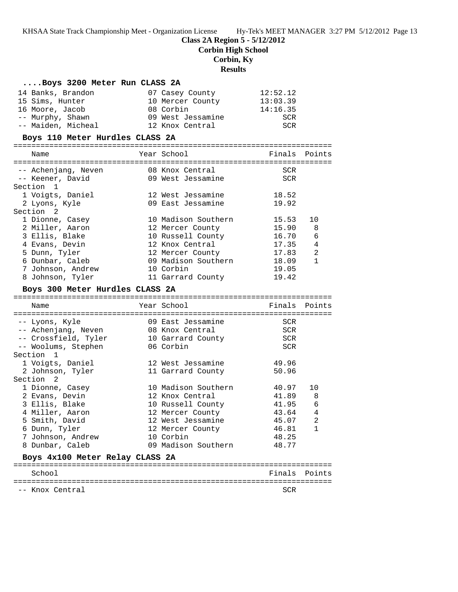## **Class 2A Region 5 - 5/12/2012**

**Corbin High School**

## **Corbin, Ky**

**Results**

| Boys 3200 Meter Run CLASS 2A                |  |                                  |                |              |  |  |  |  |  |
|---------------------------------------------|--|----------------------------------|----------------|--------------|--|--|--|--|--|
| 14 Banks, Brandon                           |  | 07 Casey County                  | 12:52.12       |              |  |  |  |  |  |
| 15 Sims, Hunter                             |  | 10 Mercer County                 | 13:03.39       |              |  |  |  |  |  |
| 16 Moore, Jacob                             |  | 08 Corbin                        | 14:16.35       |              |  |  |  |  |  |
| -- Murphy, Shawn                            |  | 09 West Jessamine                | SCR            |              |  |  |  |  |  |
| -- Maiden, Micheal                          |  | 12 Knox Central                  | <b>SCR</b>     |              |  |  |  |  |  |
| Boys 110 Meter Hurdles CLASS 2A             |  |                                  |                |              |  |  |  |  |  |
|                                             |  |                                  |                |              |  |  |  |  |  |
| Name                                        |  | Year School                      | Finals         | Points       |  |  |  |  |  |
| -- Achenjang, Neven                         |  | 08 Knox Central                  | SCR            |              |  |  |  |  |  |
| -- Keener, David                            |  | 09 West Jessamine                | <b>SCR</b>     |              |  |  |  |  |  |
| Section 1                                   |  |                                  |                |              |  |  |  |  |  |
| 1 Voigts, Daniel                            |  | 12 West Jessamine                | 18.52          |              |  |  |  |  |  |
| 2 Lyons, Kyle                               |  | 09 East Jessamine                | 19.92          |              |  |  |  |  |  |
| Section 2                                   |  |                                  |                |              |  |  |  |  |  |
| 1 Dionne, Casey                             |  | 10 Madison Southern              | 15.53          | 10           |  |  |  |  |  |
| 2 Miller, Aaron                             |  | 12 Mercer County                 | 15.90          | 8            |  |  |  |  |  |
| 3 Ellis, Blake                              |  | 10 Russell County                | 16.70          | 6            |  |  |  |  |  |
| 4 Evans, Devin                              |  | 12 Knox Central                  | 17.35          | 4            |  |  |  |  |  |
| 5 Dunn, Tyler                               |  | 12 Mercer County                 | 17.83          | 2            |  |  |  |  |  |
| 6 Dunbar, Caleb                             |  | 09 Madison Southern              | 18.09          | $\mathbf{1}$ |  |  |  |  |  |
| 7 Johnson, Andrew                           |  | 10 Corbin                        | 19.05          |              |  |  |  |  |  |
| 8 Johnson, Tyler                            |  | 11 Garrard County                | 19.42          |              |  |  |  |  |  |
| Boys 300 Meter Hurdles CLASS 2A             |  |                                  |                |              |  |  |  |  |  |
|                                             |  |                                  |                |              |  |  |  |  |  |
|                                             |  |                                  |                |              |  |  |  |  |  |
| Name                                        |  | Year School                      | Finals         | Points       |  |  |  |  |  |
| -- Lyons, Kyle                              |  | 09 East Jessamine                | <b>SCR</b>     |              |  |  |  |  |  |
| -- Achenjang, Neven                         |  | 08 Knox Central                  | <b>SCR</b>     |              |  |  |  |  |  |
|                                             |  | 10 Garrard County                | <b>SCR</b>     |              |  |  |  |  |  |
| -- Crossfield, Tyler<br>-- Woolums, Stephen |  | 06 Corbin                        | SCR            |              |  |  |  |  |  |
| Section <sub>1</sub>                        |  |                                  |                |              |  |  |  |  |  |
| 1 Voigts, Daniel                            |  | 12 West Jessamine                | 49.96          |              |  |  |  |  |  |
| 2 Johnson, Tyler                            |  | 11 Garrard County                | 50.96          |              |  |  |  |  |  |
| Section 2                                   |  |                                  |                |              |  |  |  |  |  |
| 1 Dionne, Casey                             |  | 10 Madison Southern              | 40.97          | 10           |  |  |  |  |  |
| 2 Evans, Devin                              |  | 12 Knox Central                  | 41.89          | 8<br>6       |  |  |  |  |  |
| 3 Ellis, Blake                              |  | 10 Russell County                | 41.95          |              |  |  |  |  |  |
| 4 Miller, Aaron                             |  | 12 Mercer County                 | 43.64          | 4            |  |  |  |  |  |
| 5 Smith, David                              |  | 12 West Jessamine                | 45.07          | 2<br>1       |  |  |  |  |  |
| 6 Dunn, Tyler                               |  | 12 Mercer County                 | 46.81          |              |  |  |  |  |  |
| 7 Johnson, Andrew<br>8 Dunbar, Caleb        |  | 10 Corbin<br>09 Madison Southern | 48.25<br>48.77 |              |  |  |  |  |  |
| Boys 4x100 Meter Relay CLASS 2A             |  |                                  |                |              |  |  |  |  |  |
|                                             |  |                                  |                |              |  |  |  |  |  |
| School                                      |  |                                  | Finals         | Points       |  |  |  |  |  |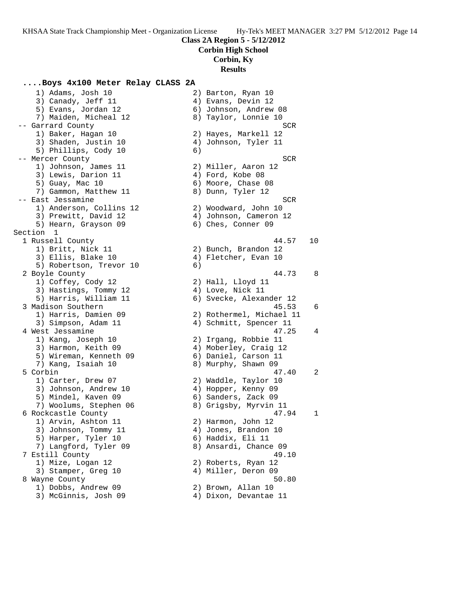**Corbin High School**

## **Corbin, Ky**

**Results**

### **....Boys 4x100 Meter Relay CLASS 2A**

 1) Adams, Josh 10 2) Barton, Ryan 10 3) Canady, Jeff 11 4) Evans, Devin 12 5) Evans, Jordan 12 6) Johnson, Andrew 08 7) Maiden, Micheal 12 8) Taylor, Lonnie 10 -- Garrard County **SCR**  1) Baker, Hagan 10 2) Hayes, Markell 12 3) Shaden, Justin 10 4) Johnson, Tyler 11 5) Phillips, Cody 10 6) -- Mercer County SCR 1) Johnson, James 11 2) Miller, Aaron 12 3) Lewis, Darion 11 (4) Ford, Kobe 08 5) Guay, Mac 10 6) Moore, Chase 08 7) Gammon, Matthew 11  $\hphantom{\text{2.25}}$  8) Dunn, Tyler 12 -- East Jessamine SCR and the SCR set of the SCR set of the SCR set of the SCR set of the SCR set of the SCR set of the SCR set of the SCR set of the SCR set of the SCR set of the SCR set of the SCR set of the SCR set of t 1) Anderson, Collins 12 2) Woodward, John 10 3) Prewitt, David 12 4) Johnson, Cameron 12 5) Hearn, Grayson 09 6) Ches, Conner 09 Section 1 1 Russell County 44.57 10 1) Britt, Nick 11 2) Bunch, Brandon 12 3) Ellis, Blake 10 (4) Fletcher, Evan 10 5) Robertson, Trevor 10 (6) 2 Boyle County 44.73 8 1) Coffey, Cody 12 2) Hall, Lloyd 11 3) Hastings, Tommy 12 4) Love, Nick 11 5) Harris, William 11 6) Svecke, Alexander 12 3 Madison Southern 45.53 6 1) Harris, Damien 09 2) Rothermel, Michael 11 3) Simpson, Adam 11 4) Schmitt, Spencer 11 4 West Jessamine 47.25 4 1) Kang, Joseph 10 2) Irgang, Robbie 11 3) Harmon, Keith 09 4) Moberley, Craig 12 5) Wireman, Kenneth 09 (6) Daniel, Carson 11 7) Kang, Isaiah 10 8) Murphy, Shawn 09 5 Corbin 47.40 2 1) Carter, Drew 07 2) Waddle, Taylor 10 3) Johnson, Andrew 10 4) Hopper, Kenny 09 5) Mindel, Kaven 09 6) Sanders, Zack 09 7) Woolums, Stephen 06 8) Grigsby, Myrvin 11 6 Rockcastle County 47.94 1 1) Arvin, Ashton 11 2) Harmon, John 12 3) Johnson, Tommy 11 (4) Jones, Brandon 10 5) Harper, Tyler 10 (6) Haddix, Eli 11 7) Langford, Tyler 09 8) Ansardi, Chance 09 7 Estill County 49.10 1) Mize, Logan 12 2) Roberts, Ryan 12 3) Stamper, Greg 10 (4) Miller, Deron 09 8 Wayne County 50.80 1) Dobbs, Andrew 09 2) Brown, Allan 10 3) McGinnis, Josh 09 4) Dixon, Devantae 11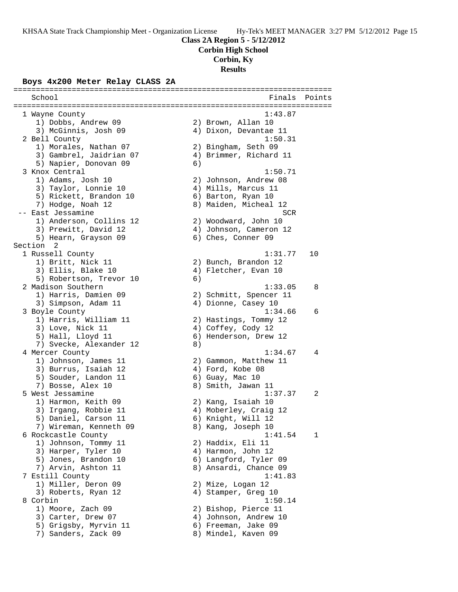**Corbin High School**

## **Corbin, Ky**

**Results**

### **Boys 4x200 Meter Relay CLASS 2A**

======================================================================= School **Finals** Points **Points** ======================================================================= 1 Wayne County 1:43.87 1) Dobbs, Andrew 09 2) Brown, Allan 10 3) McGinnis, Josh 09 4) Dixon, Devantae 11 2 Bell County 1:50.31 1) Morales, Nathan 07 2) Bingham, Seth 09 3) Gambrel, Jaidrian 07 4) Brimmer, Richard 11 5) Napier, Donovan 09 (6) 3 Knox Central 2012 1:50.71 1) Adams, Josh 10 2) Johnson, Andrew 08 3) Taylor, Lonnie 10 (4) Mills, Marcus 11 5) Rickett, Brandon 10 (6) Barton, Ryan 10 7) Hodge, Noah 12 8) Maiden, Micheal 12 -- East Jessamine SCR and the SCR set of the SCR set of the SCR set of the SCR set of the SCR set of the SCR set of the SCR set of the SCR set of the SCR set of the SCR set of the SCR set of the SCR set of the SCR set of t 1) Anderson, Collins 12 2) Woodward, John 10 3) Prewitt, David 12 4) Johnson, Cameron 12 5) Hearn, Grayson 09 6) Ches, Conner 09 Section 2<br>1 Russell County 1 Russell County 1:31.77 10 1) Britt, Nick 11 2) Bunch, Brandon 12 3) Ellis, Blake 10 (4) Fletcher, Evan 10 5) Robertson, Trevor 10 (6) 2 Madison Southern 1:33.05 8 1) Harris, Damien 09 2) Schmitt, Spencer 11 3) Simpson, Adam 11 4) Dionne, Casey 10 3 Boyle County 1:34.66 6 1) Harris, William 11 2) Hastings, Tommy 12 3) Love, Nick 11 4) Coffey, Cody 12 5) Hall, Lloyd 11 6) Henderson, Drew 12 7) Svecke, Alexander 12 (8) 4 Mercer County 1:34.67 4 1) Johnson, James 11 2) Gammon, Matthew 11 3) Burrus, Isaiah 12 (4) Ford, Kobe 08 5) Souder, Landon 11 (6) Guay, Mac 10 7) Bosse, Alex 10 8) Smith, Jawan 11 5 West Jessamine 1:37.37 2 1) Harmon, Keith 09 2) Kang, Isaiah 10 3) Irgang, Robbie 11 4) Moberley, Craig 12 5) Daniel, Carson 11 6) Knight, Will 12 7) Wireman, Kenneth 09 8) Kang, Joseph 10 6 Rockcastle County 1:41.54 1 1) Johnson, Tommy 11 2) Haddix, Eli 11 3) Harper, Tyler 10  $\hskip1cm$  4) Harmon, John 12 5) Jones, Brandon 10 6) Langford, Tyler 09 7) Arvin, Ashton 11 8) Ansardi, Chance 09 7 Estill County 1:41.83 1) Miller, Deron 09 2) Mize, Logan 12 3) Roberts, Ryan 12 (4) Stamper, Greg 10 8 Corbin 1:50.14 1) Moore, Zach 09 2) Bishop, Pierce 11 3) Carter, Drew 07 (4) Johnson, Andrew 10 5) Grigsby, Myrvin 11 6) Freeman, Jake 09 7) Sanders, Zack 09 8) Mindel, Kaven 09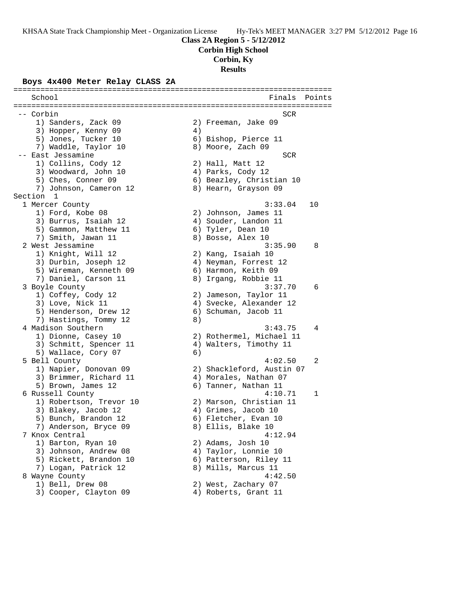**Corbin High School**

**Corbin, Ky**

**Results**

#### **Boys 4x400 Meter Relay CLASS 2A**

======================================================================= School **Finals** Points **Points** ======================================================================= -- Corbin SCR 1) Sanders, Zack 09 2) Freeman, Jake 09 3) Hopper, Kenny 09 (4) 5) Jones, Tucker 10 (6) Bishop, Pierce 11 7) Waddle, Taylor 10 and 8) Moore, Zach 09 -- East Jessamine SCR and the SCR set of the SCR set of the SCR set of the SCR 1) Collins, Cody 12 2) Hall, Matt 12 3) Woodward, John 10  $\hskip1cm \hskip1cm 4$ ) Parks, Cody 12 5) Ches, Conner 09 6) Beazley, Christian 10 7) Johnson, Cameron 12  $\hphantom{\text{2.65}$  8) Hearn, Grayson 09 Section 1<br>1 Mercer County 1 Mercer County 3:33.04 10 1) Ford, Kobe 08 2) Johnson, James 11 3) Burrus, Isaiah 12  $\hskip1cm$  4) Souder, Landon 11 5) Gammon, Matthew 11 6) Tyler, Dean 10 7) Smith, Jawan 11 8) Bosse, Alex 10 2 West Jessamine 3:35.90 8 1) Knight, Will 12 2) Kang, Isaiah 10 3) Durbin, Joseph 12 4) Neyman, Forrest 12 5) Wireman, Kenneth 09 6) Harmon, Keith 09 7) Daniel, Carson 11 8) Irgang, Robbie 11 3 Boyle County 3:37.70 6 1) Coffey, Cody 12 2) Jameson, Taylor 11 3) Love, Nick 11 4) Svecke, Alexander 12 5) Henderson, Drew 12 (6) Schuman, Jacob 11 7) Hastings, Tommy 12 8) 4 Madison Southern 3:43.75 4 1) Dionne, Casey 10 2) Rothermel, Michael 11 3) Schmitt, Spencer 11 4) Walters, Timothy 11 5) Wallace, Cory 07 6) 5 Bell County 4:02.50 2 1) Napier, Donovan 09 2) Shackleford, Austin 07 3) Brimmer, Richard 11 4) Morales, Nathan 07 5) Brown, James 12 (6) Tanner, Nathan 11 6 Russell County 4:10.71 1 1) Robertson, Trevor 10 2) Marson, Christian 11 3) Blakey, Jacob 12 (4) Grimes, Jacob 10 5) Bunch, Brandon 12 (6) Fletcher, Evan 10 7) Anderson, Bryce 09 8) Ellis, Blake 10 7 Knox Central 4:12.94 1) Barton, Ryan 10 2) Adams, Josh 10 3) Johnson, Andrew 08 4) Taylor, Lonnie 10 5) Rickett, Brandon 10 (6) Patterson, Riley 11 7) Logan, Patrick 12 and 8) Mills, Marcus 11 8 Wayne County  $4:42.50$ 1) Bell, Drew 08 2) West, Zachary 07 3) Cooper, Clayton 09 (4) Roberts, Grant 11